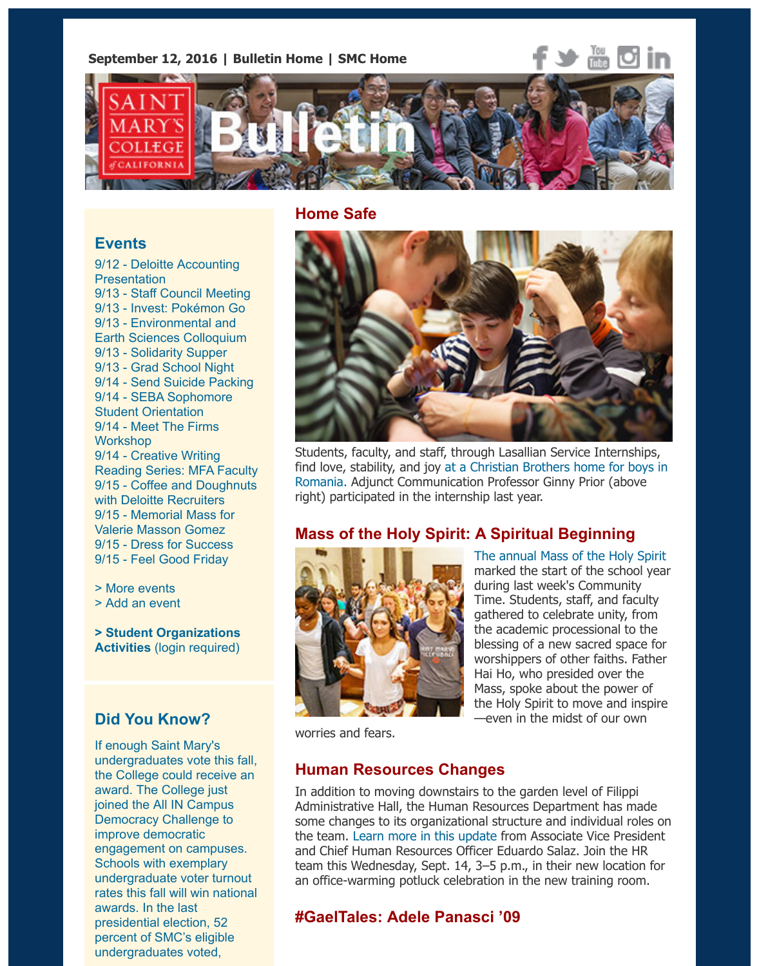

## **Home Safe**

#### **Events**

9/12 - Deloitte Accounting **Presentation** 9/13 - Staff Council Meeting 9/13 - Invest: Pokémon Go 9/13 - Environmental and Earth Sciences Colloquium 9/13 - Solidarity Supper 9/13 - Grad School Night 9/14 - Send Suicide Packing [9/14 - SEBA Sophomore](http://www.stmarys-ca.edu/deloitte-accounting-presentation?utm_source=Bulletin&utm_medium=email&utm_content=event_test&utm_campaign=09-12-2016) Student Orientation 9/14 - [Meet The Firms](http://www.stmarys-ca.edu/staff-council-meeting-5?utm_source=Bulletin&utm_medium=email&utm_content=event_test&utm_campaign=09-12-2016) **Works[hop](http://www.stmarys-ca.edu/invest-pok%C3%A9mon-go-can-you-catch-em-all?utm_source=Bulletin&utm_medium=email&utm_content=event_test&utm_campaign=09-12-2016)** 9/14 - Creative Writing [Reading Series: MFA Facul](http://www.stmarys-ca.edu/environmental-and-earth-sciences-fall-2016-colloquium?utm_source=Bulletin&utm_medium=email&utm_content=event_test&utm_campaign=09-12-2016)ty 9/15 - [Coffee and Dough](http://www.stmarys-ca.edu/solidarity-supper-0?utm_source=Bulletin&utm_medium=email&utm_content=event_test&utm_campaign=09-12-2016)nuts with D[eloitte Recruiters](http://www.stmarys-ca.edu/grad-school-night?utm_source=Bulletin&utm_medium=email&utm_content=event_test&utm_campaign=09-12-2016) 9/15 - [Memorial Mass for](http://www.stmarys-ca.edu/send-suicide-packing?utm_source=Bulletin&utm_medium=email&utm_content=event_test&utm_campaign=09-12-2016) Valerie Masson Gomez [9/15 - Dress for Success](http://www.stmarys-ca.edu/seba-sophomore-student-orientation?utm_source=Bulletin&utm_medium=email&utm_content=event_test&utm_campaign=09-12-2016) [9/15 - Feel Good Frida](http://www.stmarys-ca.edu/meet-the-firms-workshop?utm_source=Bulletin&utm_medium=email&utm_content=event_test&utm_campaign=09-12-2016)y

> More events

[> Add an event](http://www.stmarys-ca.edu/creative-writing-reading-series-1?utm_source=Bulletin&utm_medium=email&utm_content=event_test&utm_campaign=09-12-2016)

**[> Student Organizations](http://www.stmarys-ca.edu/coffee-and-doughnuts-with-deloitte-recruiters?utm_source=Bulletin&utm_medium=email&utm_content=event_test&utm_campaign=09-12-2016) Activities** [\(login required](http://www.stmarys-ca.edu/memorial-mass-for-valerie-masson-gomez?utm_source=Bulletin&utm_medium=email&utm_content=event_test&utm_campaign=09-12-2016))

# **[Did You Kn](http://www.stmarys-ca.edu/events?utm_source=Bulletin&utm_medium=email&utm_content=event_test&utm_campaign=09-12-2016)ow?**

[If enough Saint](http://www.stmarys-ca.edu/node/add/calendar-event?utm_source=Bulletin&utm_medium=email&utm_content=event_test&utm_campaign=09-12-2016) Mary's undergraduates vote this fall, [the College could receive a](https://stmarys-ca-community.symplicity.com/)n award. The College just joined the All IN Campus Democracy Challenge to improve democratic engagement on campuses. Schools with exemplary undergraduate voter turnout rates this fall will win national awards. In the last presidential election, 52 percent of SMC's eligible undergraduates voted,



Students, faculty, and staff, through Lasallian Service Internshi find love, stability, and joy at a Christian Brothers home for boy Romania. Adjunct Communication Professor Ginny Prior (above right) participated in the internship last year.

## **Mass of the Holy Spirit: A Spiritual Beginning**



The annual Mass of the Holy Spirit marked the start of the school during last week's Community Time. Students, staff, and facu gathered to celebrate unity, from the academic processional to t blessing of a new sacred space worshippers of other faiths. Fa Hai Ho, who presided over the [Mass, spoke about the power of](http://www.stmarys-ca.edu/mass-of-the-holy-spirit-2016-a-spiritual-beginning?utm_source=Bulletin&utm_medium=email&utm_content=feature_test&utm_campaign=09-12-2016) the Holy Spirit to move and inst —even in the midst of our own

worries and fears.

## **Human Resources Changes**

In addition to moving downstairs to the garden level of Filippi Administrative Hall, the Human Resources Department has ma some changes to its organizational structure and individual role the team. Learn more in this update from Associate Vice President and Chief Human Resources Officer Eduardo Salaz. Join the HR team this Wednesday, Sept. 14, 3-5 p.m., in their new location an office-warming potluck celebration in the new training room.

# **#GaelTales: Adele Panasci '09**